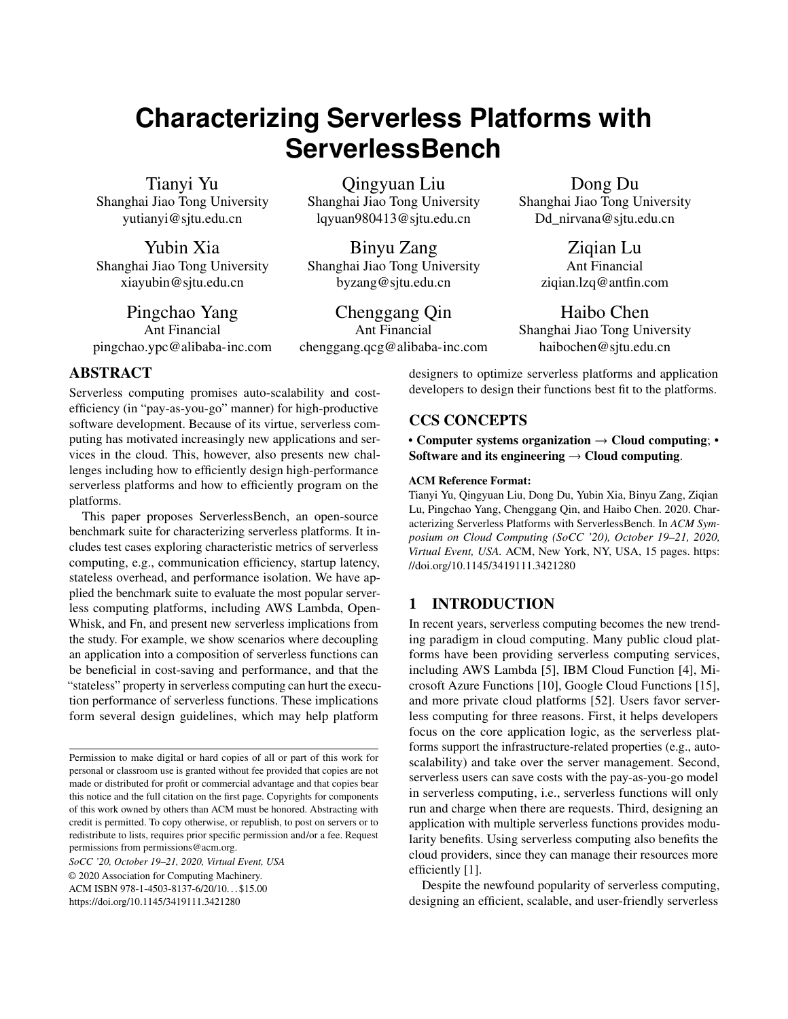# **Characterizing Serverless Platforms with ServerlessBench**

Tianyi Yu Shanghai Jiao Tong University yutianyi@sjtu.edu.cn

Yubin Xia Shanghai Jiao Tong University xiayubin@sjtu.edu.cn

Pingchao Yang Ant Financial pingchao.ypc@alibaba-inc.com

Qingyuan Liu Shanghai Jiao Tong University lqyuan980413@sjtu.edu.cn

Binyu Zang Shanghai Jiao Tong University byzang@sjtu.edu.cn

Chenggang Qin Ant Financial chenggang.qcg@alibaba-inc.com Dong Du

Shanghai Jiao Tong University Dd\_nirvana@sjtu.edu.cn

> Ziqian Lu Ant Financial ziqian.lzq@antfin.com

# Haibo Chen

Shanghai Jiao Tong University haibochen@sjtu.edu.cn

ABSTRACT

Serverless computing promises auto-scalability and costefficiency (in "pay-as-you-go" manner) for high-productive software development. Because of its virtue, serverless computing has motivated increasingly new applications and services in the cloud. This, however, also presents new challenges including how to efficiently design high-performance serverless platforms and how to efficiently program on the platforms.

This paper proposes ServerlessBench, an open-source benchmark suite for characterizing serverless platforms. It includes test cases exploring characteristic metrics of serverless computing, e.g., communication efficiency, startup latency, stateless overhead, and performance isolation. We have applied the benchmark suite to evaluate the most popular serverless computing platforms, including AWS Lambda, Open-Whisk, and Fn, and present new serverless implications from the study. For example, we show scenarios where decoupling an application into a composition of serverless functions can be beneficial in cost-saving and performance, and that the "stateless" property in serverless computing can hurt the execution performance of serverless functions. These implications form several design guidelines, which may help platform

*SoCC '20, October 19–21, 2020, Virtual Event, USA* © 2020 Association for Computing Machinery. ACM ISBN 978-1-4503-8137-6/20/10. . . \$15.00 <https://doi.org/10.1145/3419111.3421280>

designers to optimize serverless platforms and application developers to design their functions best fit to the platforms.

# CCS CONCEPTS

• Computer systems organization  $\rightarrow$  Cloud computing; Software and its engineering  $\rightarrow$  Cloud computing.

#### ACM Reference Format:

Tianyi Yu, Qingyuan Liu, Dong Du, Yubin Xia, Binyu Zang, Ziqian Lu, Pingchao Yang, Chenggang Qin, and Haibo Chen. 2020. Characterizing Serverless Platforms with ServerlessBench. In *ACM Symposium on Cloud Computing (SoCC '20), October 19–21, 2020, Virtual Event, USA.* ACM, New York, NY, USA, [15](#page-14-0) pages. [https:](https://doi.org/10.1145/3419111.3421280) [//doi.org/10.1145/3419111.3421280](https://doi.org/10.1145/3419111.3421280)

# 1 INTRODUCTION

In recent years, serverless computing becomes the new trending paradigm in cloud computing. Many public cloud platforms have been providing serverless computing services, including AWS Lambda [\[5\]](#page-13-0), IBM Cloud Function [\[4\]](#page-13-1), Microsoft Azure Functions [\[10\]](#page-13-2), Google Cloud Functions [\[15\]](#page-13-3), and more private cloud platforms [\[52\]](#page-14-1). Users favor serverless computing for three reasons. First, it helps developers focus on the core application logic, as the serverless platforms support the infrastructure-related properties (e.g., autoscalability) and take over the server management. Second, serverless users can save costs with the pay-as-you-go model in serverless computing, i.e., serverless functions will only run and charge when there are requests. Third, designing an application with multiple serverless functions provides modularity benefits. Using serverless computing also benefits the cloud providers, since they can manage their resources more efficiently [\[1\]](#page-13-4).

Despite the newfound popularity of serverless computing, designing an efficient, scalable, and user-friendly serverless

Permission to make digital or hard copies of all or part of this work for personal or classroom use is granted without fee provided that copies are not made or distributed for profit or commercial advantage and that copies bear this notice and the full citation on the first page. Copyrights for components of this work owned by others than ACM must be honored. Abstracting with credit is permitted. To copy otherwise, or republish, to post on servers or to redistribute to lists, requires prior specific permission and/or a fee. Request permissions from permissions@acm.org.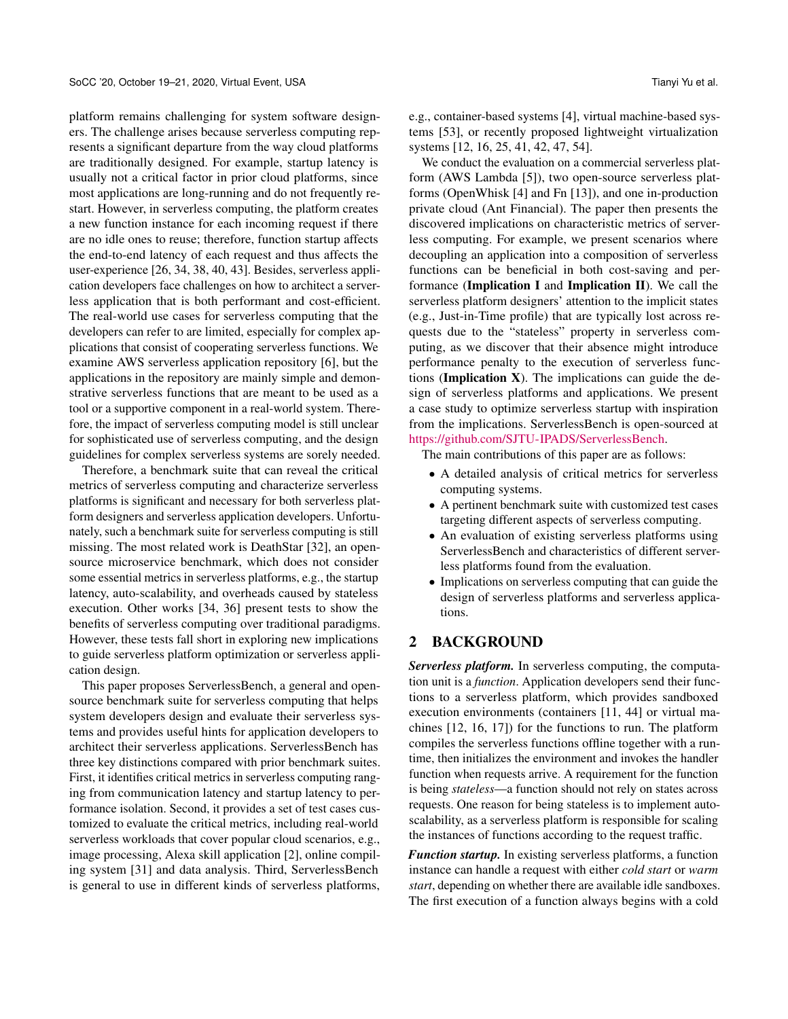platform remains challenging for system software designers. The challenge arises because serverless computing represents a significant departure from the way cloud platforms are traditionally designed. For example, startup latency is usually not a critical factor in prior cloud platforms, since most applications are long-running and do not frequently restart. However, in serverless computing, the platform creates a new function instance for each incoming request if there are no idle ones to reuse; therefore, function startup affects the end-to-end latency of each request and thus affects the user-experience [\[26,](#page-13-5) [34,](#page-13-6) [38,](#page-14-2) [40,](#page-14-3) [43\]](#page-14-4). Besides, serverless application developers face challenges on how to architect a serverless application that is both performant and cost-efficient. The real-world use cases for serverless computing that the developers can refer to are limited, especially for complex applications that consist of cooperating serverless functions. We examine AWS serverless application repository [\[6\]](#page-13-7), but the applications in the repository are mainly simple and demonstrative serverless functions that are meant to be used as a tool or a supportive component in a real-world system. Therefore, the impact of serverless computing model is still unclear for sophisticated use of serverless computing, and the design guidelines for complex serverless systems are sorely needed.

Therefore, a benchmark suite that can reveal the critical metrics of serverless computing and characterize serverless platforms is significant and necessary for both serverless platform designers and serverless application developers. Unfortunately, such a benchmark suite for serverless computing is still missing. The most related work is DeathStar [\[32\]](#page-13-8), an opensource microservice benchmark, which does not consider some essential metrics in serverless platforms, e.g., the startup latency, auto-scalability, and overheads caused by stateless execution. Other works [\[34,](#page-13-6) [36\]](#page-13-9) present tests to show the benefits of serverless computing over traditional paradigms. However, these tests fall short in exploring new implications to guide serverless platform optimization or serverless application design.

This paper proposes ServerlessBench, a general and opensource benchmark suite for serverless computing that helps system developers design and evaluate their serverless systems and provides useful hints for application developers to architect their serverless applications. ServerlessBench has three key distinctions compared with prior benchmark suites. First, it identifies critical metrics in serverless computing ranging from communication latency and startup latency to performance isolation. Second, it provides a set of test cases customized to evaluate the critical metrics, including real-world serverless workloads that cover popular cloud scenarios, e.g., image processing, Alexa skill application [\[2\]](#page-13-10), online compiling system [\[31\]](#page-13-11) and data analysis. Third, ServerlessBench is general to use in different kinds of serverless platforms,

e.g., container-based systems [\[4\]](#page-13-1), virtual machine-based systems [\[53\]](#page-14-5), or recently proposed lightweight virtualization systems [\[12,](#page-13-12) [16,](#page-13-13) [25,](#page-13-14) [41,](#page-14-6) [42,](#page-14-7) [47,](#page-14-8) [54\]](#page-14-9).

We conduct the evaluation on a commercial serverless platform (AWS Lambda [\[5\]](#page-13-0)), two open-source serverless platforms (OpenWhisk [\[4\]](#page-13-1) and Fn [\[13\]](#page-13-15)), and one in-production private cloud (Ant Financial). The paper then presents the discovered implications on characteristic metrics of serverless computing. For example, we present scenarios where decoupling an application into a composition of serverless functions can be beneficial in both cost-saving and performance (Implication I and Implication II). We call the serverless platform designers' attention to the implicit states (e.g., Just-in-Time profile) that are typically lost across requests due to the "stateless" property in serverless computing, as we discover that their absence might introduce performance penalty to the execution of serverless functions (Implication  $X$ ). The implications can guide the design of serverless platforms and applications. We present a case study to optimize serverless startup with inspiration from the implications. ServerlessBench is open-sourced at [https://github.com/SJTU-IPADS/ServerlessBench.](https://github.com/SJTU-IPADS/ServerlessBench)

The main contributions of this paper are as follows:

- A detailed analysis of critical metrics for serverless computing systems.
- A pertinent benchmark suite with customized test cases targeting different aspects of serverless computing.
- An evaluation of existing serverless platforms using ServerlessBench and characteristics of different serverless platforms found from the evaluation.
- Implications on serverless computing that can guide the design of serverless platforms and serverless applications.

# <span id="page-1-0"></span>2 BACKGROUND

*Serverless platform.* In serverless computing, the computation unit is a *function*. Application developers send their functions to a serverless platform, which provides sandboxed execution environments (containers [\[11,](#page-13-16) [44\]](#page-14-10) or virtual machines [\[12,](#page-13-12) [16,](#page-13-13) [17\]](#page-13-17)) for the functions to run. The platform compiles the serverless functions offline together with a runtime, then initializes the environment and invokes the handler function when requests arrive. A requirement for the function is being *stateless*—a function should not rely on states across requests. One reason for being stateless is to implement autoscalability, as a serverless platform is responsible for scaling the instances of functions according to the request traffic.

*Function startup.* In existing serverless platforms, a function instance can handle a request with either *cold start* or *warm start*, depending on whether there are available idle sandboxes. The first execution of a function always begins with a cold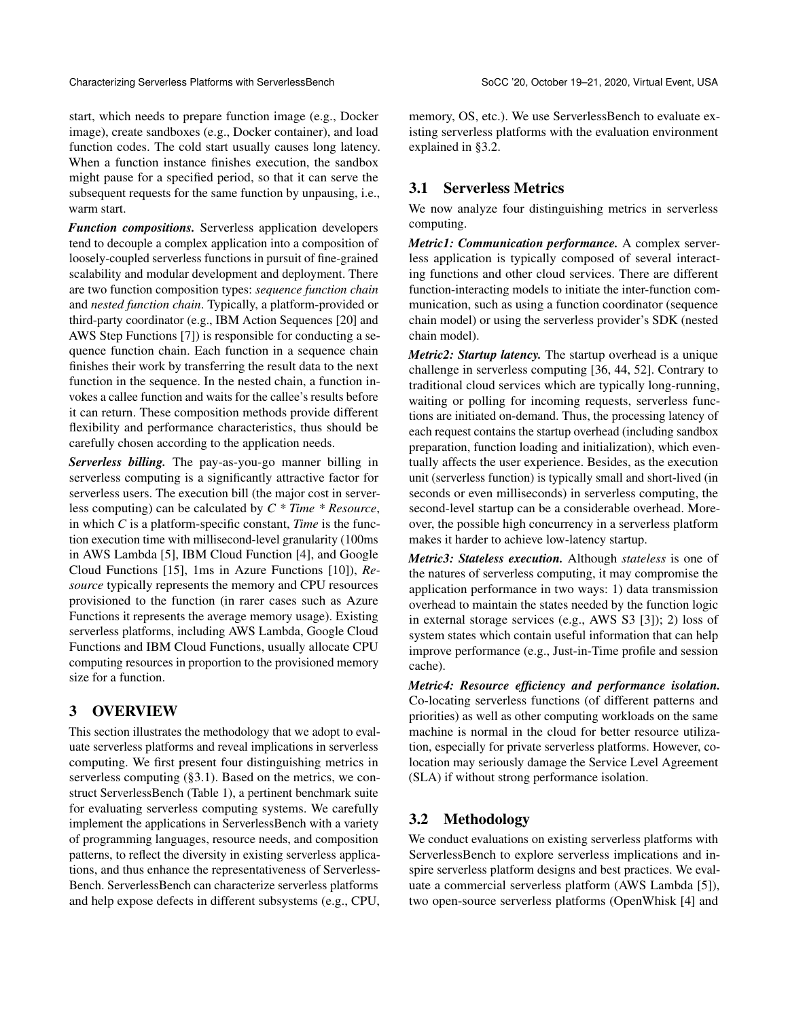start, which needs to prepare function image (e.g., Docker image), create sandboxes (e.g., Docker container), and load function codes. The cold start usually causes long latency. When a function instance finishes execution, the sandbox might pause for a specified period, so that it can serve the subsequent requests for the same function by unpausing, i.e., warm start.

*Function compositions.* Serverless application developers tend to decouple a complex application into a composition of loosely-coupled serverless functions in pursuit of fine-grained scalability and modular development and deployment. There are two function composition types: *sequence function chain* and *nested function chain*. Typically, a platform-provided or third-party coordinator (e.g., IBM Action Sequences [\[20\]](#page-13-18) and AWS Step Functions [\[7\]](#page-13-19)) is responsible for conducting a sequence function chain. Each function in a sequence chain finishes their work by transferring the result data to the next function in the sequence. In the nested chain, a function invokes a callee function and waits for the callee's results before it can return. These composition methods provide different flexibility and performance characteristics, thus should be carefully chosen according to the application needs.

*Serverless billing.* The pay-as-you-go manner billing in serverless computing is a significantly attractive factor for serverless users. The execution bill (the major cost in serverless computing) can be calculated by *C \* Time \* Resource*, in which *C* is a platform-specific constant, *Time* is the function execution time with millisecond-level granularity (100ms in AWS Lambda [\[5\]](#page-13-0), IBM Cloud Function [\[4\]](#page-13-1), and Google Cloud Functions [\[15\]](#page-13-3), 1ms in Azure Functions [\[10\]](#page-13-2)), *Resource* typically represents the memory and CPU resources provisioned to the function (in rarer cases such as Azure Functions it represents the average memory usage). Existing serverless platforms, including AWS Lambda, Google Cloud Functions and IBM Cloud Functions, usually allocate CPU computing resources in proportion to the provisioned memory size for a function.

# 3 OVERVIEW

This section illustrates the methodology that we adopt to evaluate serverless platforms and reveal implications in serverless computing. We first present four distinguishing metrics in serverless computing ([§3.1\)](#page-2-0). Based on the metrics, we construct ServerlessBench (Table [1\)](#page-3-0), a pertinent benchmark suite for evaluating serverless computing systems. We carefully implement the applications in ServerlessBench with a variety of programming languages, resource needs, and composition patterns, to reflect the diversity in existing serverless applications, and thus enhance the representativeness of Serverless-Bench. ServerlessBench can characterize serverless platforms and help expose defects in different subsystems (e.g., CPU, memory, OS, etc.). We use ServerlessBench to evaluate existing serverless platforms with the evaluation environment explained in [§3.2.](#page-2-1)

# <span id="page-2-0"></span>3.1 Serverless Metrics

We now analyze four distinguishing metrics in serverless computing.

*Metric1: Communication performance.* A complex serverless application is typically composed of several interacting functions and other cloud services. There are different function-interacting models to initiate the inter-function communication, such as using a function coordinator (sequence chain model) or using the serverless provider's SDK (nested chain model).

*Metric2: Startup latency.* The startup overhead is a unique challenge in serverless computing [\[36,](#page-13-9) [44,](#page-14-10) [52\]](#page-14-1). Contrary to traditional cloud services which are typically long-running, waiting or polling for incoming requests, serverless functions are initiated on-demand. Thus, the processing latency of each request contains the startup overhead (including sandbox preparation, function loading and initialization), which eventually affects the user experience. Besides, as the execution unit (serverless function) is typically small and short-lived (in seconds or even milliseconds) in serverless computing, the second-level startup can be a considerable overhead. Moreover, the possible high concurrency in a serverless platform makes it harder to achieve low-latency startup.

*Metric3: Stateless execution.* Although *stateless* is one of the natures of serverless computing, it may compromise the application performance in two ways: 1) data transmission overhead to maintain the states needed by the function logic in external storage services (e.g., AWS S3 [\[3\]](#page-13-20)); 2) loss of system states which contain useful information that can help improve performance (e.g., Just-in-Time profile and session cache).

*Metric4: Resource efficiency and performance isolation.* Co-locating serverless functions (of different patterns and priorities) as well as other computing workloads on the same machine is normal in the cloud for better resource utilization, especially for private serverless platforms. However, colocation may seriously damage the Service Level Agreement (SLA) if without strong performance isolation.

# <span id="page-2-1"></span>3.2 Methodology

We conduct evaluations on existing serverless platforms with ServerlessBench to explore serverless implications and inspire serverless platform designs and best practices. We evaluate a commercial serverless platform (AWS Lambda [\[5\]](#page-13-0)), two open-source serverless platforms (OpenWhisk [\[4\]](#page-13-1) and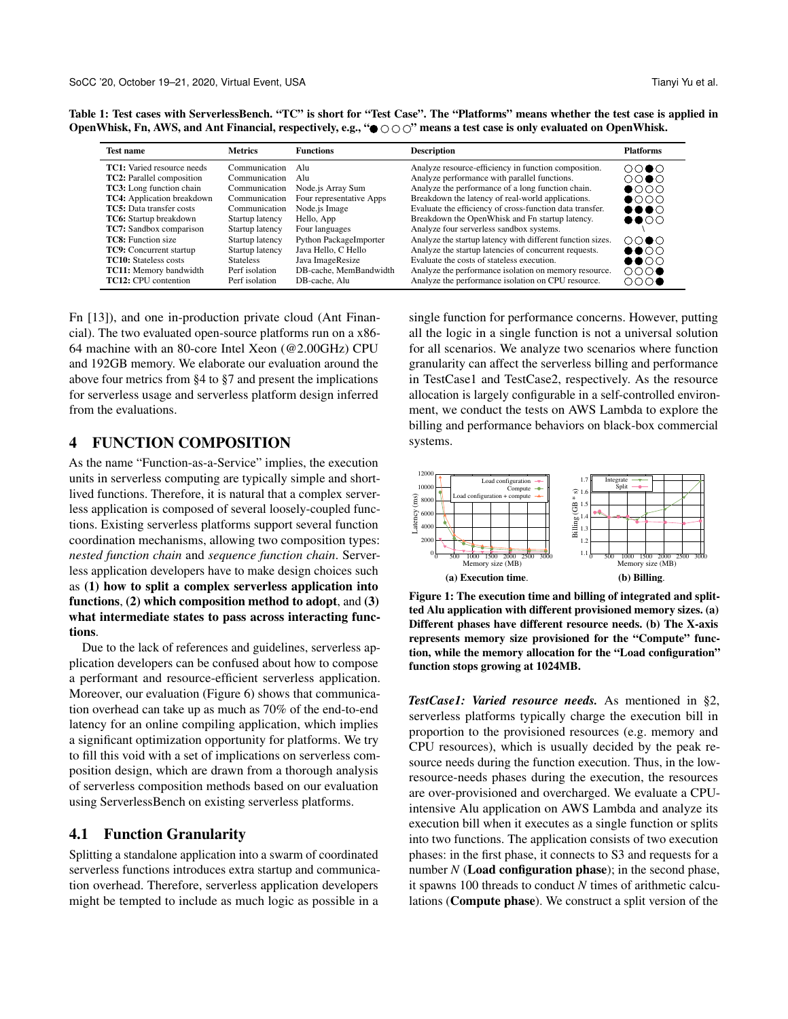| <b>Test name</b>                  | <b>Metrics</b>   | <b>Functions</b>         | <b>Description</b>                                         | <b>Platforms</b>                     |
|-----------------------------------|------------------|--------------------------|------------------------------------------------------------|--------------------------------------|
| <b>TC1:</b> Varied resource needs | Communication    | Alu                      | Analyze resource-efficiency in function composition.       | $\bigcirc \bigcirc \bullet \bigcirc$ |
| <b>TC2:</b> Parallel composition  | Communication    | Alu                      | Analyze performance with parallel functions.               | ററ●റ                                 |
| TC3: Long function chain          | Communication    | Node.js Array Sum        | Analyze the performance of a long function chain.          | $\bullet$                            |
| <b>TC4:</b> Application breakdown | Communication    | Four representative Apps | Breakdown the latency of real-world applications.          | $\bullet$                            |
| <b>TC5</b> : Data transfer costs  | Communication    | Node is Image            | Evaluate the efficiency of cross-function data transfer.   | $\bullet\bullet\bullet\circ$         |
| TC6: Startup breakdown            | Startup latency  | Hello, App               | Breakdown the OpenWhisk and Fn startup latency.            | $\bullet\bullet\circ\circ$           |
| <b>TC7:</b> Sandbox comparison    | Startup latency  | Four languages           | Analyze four serverless sandbox systems.                   |                                      |
| <b>TC8:</b> Function size         | Startup latency  | Python PackageImporter   | Analyze the startup latency with different function sizes. | $\bigcirc \bigcirc \bullet \bigcirc$ |
| <b>TC9:</b> Concurrent startup    | Startup latency  | Java Hello, C Hello      | Analyze the startup latencies of concurrent requests.      | $\bullet\bullet\circ\circ$           |
| <b>TC10</b> : Stateless costs     | <b>Stateless</b> | Java ImageResize         | Evaluate the costs of stateless execution.                 | $\bullet\bullet\circ\circ$           |
| <b>TC11:</b> Memory bandwidth     | Perf isolation   | DB-cache, MemBandwidth   | Analyze the performance isolation on memory resource.      | $\bigcirc \bigcirc \bigcirc \bullet$ |
| <b>TC12</b> : CPU contention      | Perf isolation   | DB-cache, Alu            | Analyze the performance isolation on CPU resource.         | $\circ\circ\circ\bullet$             |

<span id="page-3-0"></span>Table 1: Test cases with ServerlessBench. "TC" is short for "Test Case". The "Platforms" means whether the test case is applied in OpenWhisk, Fn, AWS, and Ant Financial, respectively, e.g., " $\bullet \circ \circ \circ$ " means a test case is only evaluated on OpenWhisk.

Fn [\[13\]](#page-13-15)), and one in-production private cloud (Ant Financial). The two evaluated open-source platforms run on a x86- 64 machine with an 80-core Intel Xeon (@2.00GHz) CPU and 192GB memory. We elaborate our evaluation around the above four metrics from [§4](#page-3-1) to [§7](#page-11-0) and present the implications for serverless usage and serverless platform design inferred from the evaluations.

#### <span id="page-3-1"></span>4 FUNCTION COMPOSITION

As the name "Function-as-a-Service" implies, the execution units in serverless computing are typically simple and shortlived functions. Therefore, it is natural that a complex serverless application is composed of several loosely-coupled functions. Existing serverless platforms support several function coordination mechanisms, allowing two composition types: *nested function chain* and *sequence function chain*. Serverless application developers have to make design choices such as (1) how to split a complex serverless application into functions, (2) which composition method to adopt, and (3) what intermediate states to pass across interacting functions.

Due to the lack of references and guidelines, serverless application developers can be confused about how to compose a performant and resource-efficient serverless application. Moreover, our evaluation (Figure [6\)](#page-6-0) shows that communication overhead can take up as much as 70% of the end-to-end latency for an online compiling application, which implies a significant optimization opportunity for platforms. We try to fill this void with a set of implications on serverless composition design, which are drawn from a thorough analysis of serverless composition methods based on our evaluation using ServerlessBench on existing serverless platforms.

# 4.1 Function Granularity

Splitting a standalone application into a swarm of coordinated serverless functions introduces extra startup and communication overhead. Therefore, serverless application developers might be tempted to include as much logic as possible in a

single function for performance concerns. However, putting all the logic in a single function is not a universal solution for all scenarios. We analyze two scenarios where function granularity can affect the serverless billing and performance in TestCase1 and TestCase2, respectively. As the resource allocation is largely configurable in a self-controlled environment, we conduct the tests on AWS Lambda to explore the billing and performance behaviors on black-box commercial systems.

<span id="page-3-2"></span>

Figure 1: The execution time and billing of integrated and splitted Alu application with different provisioned memory sizes. (a) Different phases have different resource needs. (b) The X-axis represents memory size provisioned for the "Compute" function, while the memory allocation for the "Load configuration" function stops growing at 1024MB.

*TestCase1: Varied resource needs.* As mentioned in [§2,](#page-1-0) serverless platforms typically charge the execution bill in proportion to the provisioned resources (e.g. memory and CPU resources), which is usually decided by the peak resource needs during the function execution. Thus, in the lowresource-needs phases during the execution, the resources are over-provisioned and overcharged. We evaluate a CPUintensive Alu application on AWS Lambda and analyze its execution bill when it executes as a single function or splits into two functions. The application consists of two execution phases: in the first phase, it connects to S3 and requests for a number  $N$  (**Load configuration phase**); in the second phase, it spawns 100 threads to conduct *N* times of arithmetic calculations (Compute phase). We construct a split version of the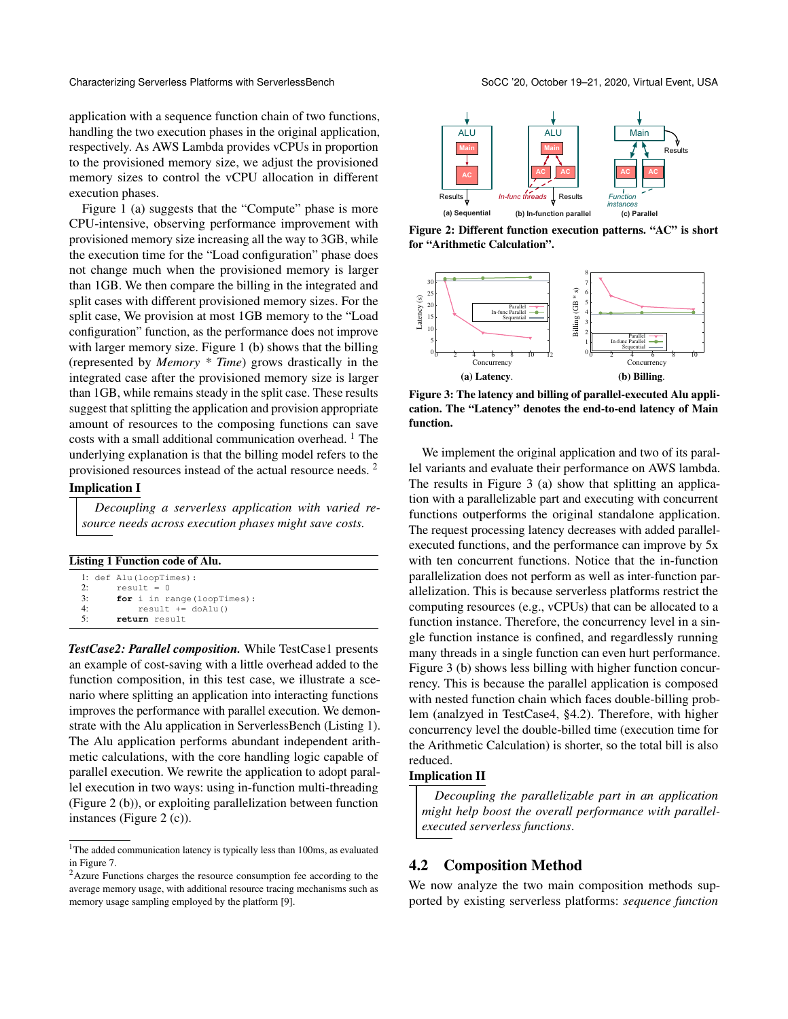application with a sequence function chain of two functions, handling the two execution phases in the original application, respectively. As AWS Lambda provides vCPUs in proportion to the provisioned memory size, we adjust the provisioned memory sizes to control the vCPU allocation in different execution phases.

Figure [1](#page-3-2) (a) suggests that the "Compute" phase is more CPU-intensive, observing performance improvement with provisioned memory size increasing all the way to 3GB, while the execution time for the "Load configuration" phase does not change much when the provisioned memory is larger than 1GB. We then compare the billing in the integrated and split cases with different provisioned memory sizes. For the split case, We provision at most 1GB memory to the "Load configuration" function, as the performance does not improve with larger memory size. Figure [1](#page-3-2) (b) shows that the billing (represented by *Memory \* Time*) grows drastically in the integrated case after the provisioned memory size is larger than 1GB, while remains steady in the split case. These results suggest that splitting the application and provision appropriate amount of resources to the composing functions can save costs with a small additional communication overhead. <sup>[1](#page-4-0)</sup> The underlying explanation is that the billing model refers to the provisioned resources instead of the actual resource needs. [2](#page-4-1)

#### Implication I

*Decoupling a serverless application with varied resource needs across execution phases might save costs.*

<span id="page-4-2"></span>

| Listing 1 Function code of Alu. |  |
|---------------------------------|--|
|---------------------------------|--|

|    | l: def Alu(loopTimes):      |
|----|-----------------------------|
| 2: | $result = 0$                |
| 3: | for i in range (loopTimes): |
| 4· | $result += doAlu()$         |
| 5: | return result               |

*TestCase2: Parallel composition.* While TestCase1 presents an example of cost-saving with a little overhead added to the function composition, in this test case, we illustrate a scenario where splitting an application into interacting functions improves the performance with parallel execution. We demonstrate with the Alu application in ServerlessBench (Listing [1\)](#page-4-2). The Alu application performs abundant independent arithmetic calculations, with the core handling logic capable of parallel execution. We rewrite the application to adopt parallel execution in two ways: using in-function multi-threading (Figure [2](#page-4-3) (b)), or exploiting parallelization between function instances (Figure [2](#page-4-3) (c)).

<span id="page-4-3"></span>

Figure 2: Different function execution patterns. "AC" is short for "Arithmetic Calculation".

<span id="page-4-4"></span>

Figure 3: The latency and billing of parallel-executed Alu application. The "Latency" denotes the end-to-end latency of Main function.

We implement the original application and two of its parallel variants and evaluate their performance on AWS lambda. The results in Figure [3](#page-4-4) (a) show that splitting an application with a parallelizable part and executing with concurrent functions outperforms the original standalone application. The request processing latency decreases with added parallelexecuted functions, and the performance can improve by 5x with ten concurrent functions. Notice that the in-function parallelization does not perform as well as inter-function parallelization. This is because serverless platforms restrict the computing resources (e.g., vCPUs) that can be allocated to a function instance. Therefore, the concurrency level in a single function instance is confined, and regardlessly running many threads in a single function can even hurt performance. Figure [3](#page-4-4) (b) shows less billing with higher function concurrency. This is because the parallel application is composed with nested function chain which faces double-billing problem (analzyed in TestCase4, [§4.2\)](#page-4-5). Therefore, with higher concurrency level the double-billed time (execution time for the Arithmetic Calculation) is shorter, so the total bill is also reduced.

#### Implication II

*Decoupling the parallelizable part in an application might help boost the overall performance with parallelexecuted serverless functions*.

#### <span id="page-4-5"></span>4.2 Composition Method

We now analyze the two main composition methods supported by existing serverless platforms: *sequence function*

<span id="page-4-0"></span><sup>&</sup>lt;sup>1</sup>The added communication latency is typically less than 100ms, as evaluated in Figure [7.](#page-6-1)

<span id="page-4-1"></span><sup>&</sup>lt;sup>2</sup>Azure Functions charges the resource consumption fee according to the average memory usage, with additional resource tracing mechanisms such as memory usage sampling employed by the platform [\[9\]](#page-13-21).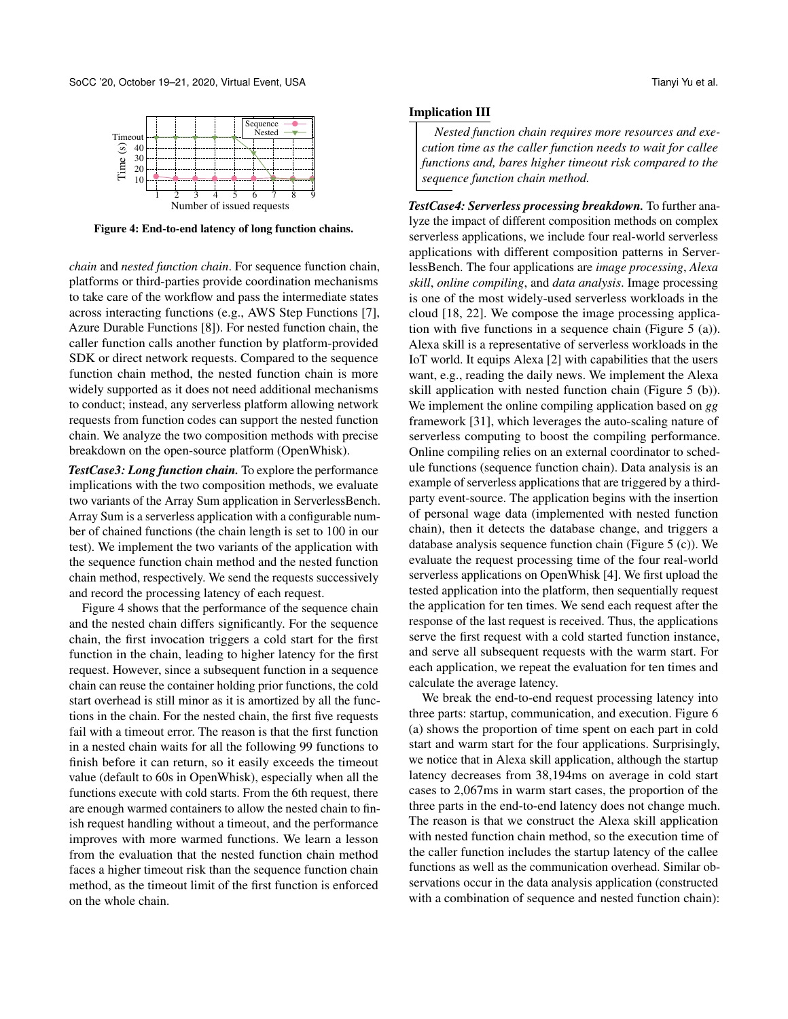<span id="page-5-0"></span>

Figure 4: End-to-end latency of long function chains.

*chain* and *nested function chain*. For sequence function chain, platforms or third-parties provide coordination mechanisms to take care of the workflow and pass the intermediate states across interacting functions (e.g., AWS Step Functions [\[7\]](#page-13-19), Azure Durable Functions [\[8\]](#page-13-22)). For nested function chain, the caller function calls another function by platform-provided SDK or direct network requests. Compared to the sequence function chain method, the nested function chain is more widely supported as it does not need additional mechanisms to conduct; instead, any serverless platform allowing network requests from function codes can support the nested function chain. We analyze the two composition methods with precise breakdown on the open-source platform (OpenWhisk).

*TestCase3: Long function chain.* To explore the performance implications with the two composition methods, we evaluate two variants of the Array Sum application in ServerlessBench. Array Sum is a serverless application with a configurable number of chained functions (the chain length is set to 100 in our test). We implement the two variants of the application with the sequence function chain method and the nested function chain method, respectively. We send the requests successively and record the processing latency of each request.

Figure [4](#page-5-0) shows that the performance of the sequence chain and the nested chain differs significantly. For the sequence chain, the first invocation triggers a cold start for the first function in the chain, leading to higher latency for the first request. However, since a subsequent function in a sequence chain can reuse the container holding prior functions, the cold start overhead is still minor as it is amortized by all the functions in the chain. For the nested chain, the first five requests fail with a timeout error. The reason is that the first function in a nested chain waits for all the following 99 functions to finish before it can return, so it easily exceeds the timeout value (default to 60s in OpenWhisk), especially when all the functions execute with cold starts. From the 6th request, there are enough warmed containers to allow the nested chain to finish request handling without a timeout, and the performance improves with more warmed functions. We learn a lesson from the evaluation that the nested function chain method faces a higher timeout risk than the sequence function chain method, as the timeout limit of the first function is enforced on the whole chain.

#### Implication III

*Nested function chain requires more resources and execution time as the caller function needs to wait for callee functions and, bares higher timeout risk compared to the sequence function chain method.*

*TestCase4: Serverless processing breakdown.* To further analyze the impact of different composition methods on complex serverless applications, we include four real-world serverless applications with different composition patterns in ServerlessBench. The four applications are *image processing*, *Alexa skill*, *online compiling*, and *data analysis*. Image processing is one of the most widely-used serverless workloads in the cloud [\[18,](#page-13-23) [22\]](#page-13-24). We compose the image processing application with five functions in a sequence chain (Figure [5](#page-6-2) (a)). Alexa skill is a representative of serverless workloads in the IoT world. It equips Alexa [\[2\]](#page-13-10) with capabilities that the users want, e.g., reading the daily news. We implement the Alexa skill application with nested function chain (Figure [5](#page-6-2) (b)). We implement the online compiling application based on *gg* framework [\[31\]](#page-13-11), which leverages the auto-scaling nature of serverless computing to boost the compiling performance. Online compiling relies on an external coordinator to schedule functions (sequence function chain). Data analysis is an example of serverless applications that are triggered by a thirdparty event-source. The application begins with the insertion of personal wage data (implemented with nested function chain), then it detects the database change, and triggers a database analysis sequence function chain (Figure [5](#page-6-2) (c)). We evaluate the request processing time of the four real-world serverless applications on OpenWhisk [\[4\]](#page-13-1). We first upload the tested application into the platform, then sequentially request the application for ten times. We send each request after the response of the last request is received. Thus, the applications serve the first request with a cold started function instance, and serve all subsequent requests with the warm start. For each application, we repeat the evaluation for ten times and calculate the average latency.

We break the end-to-end request processing latency into three parts: startup, communication, and execution. Figure [6](#page-6-0) (a) shows the proportion of time spent on each part in cold start and warm start for the four applications. Surprisingly, we notice that in Alexa skill application, although the startup latency decreases from 38,194ms on average in cold start cases to 2,067ms in warm start cases, the proportion of the three parts in the end-to-end latency does not change much. The reason is that we construct the Alexa skill application with nested function chain method, so the execution time of the caller function includes the startup latency of the callee functions as well as the communication overhead. Similar observations occur in the data analysis application (constructed with a combination of sequence and nested function chain):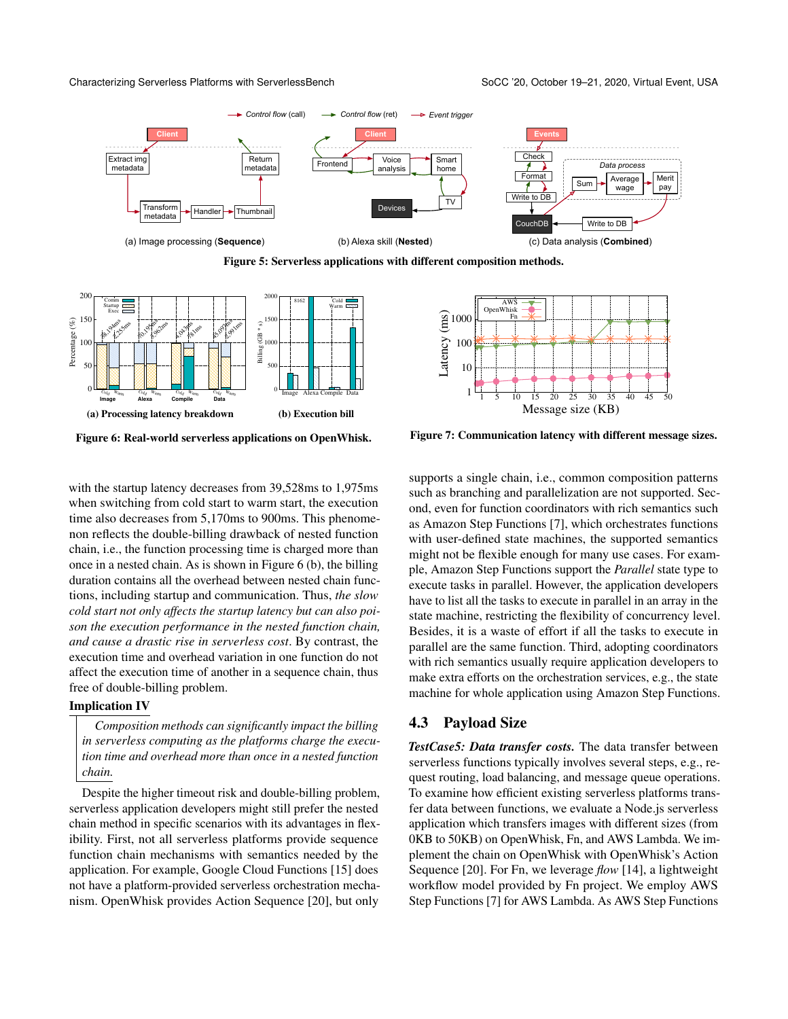<span id="page-6-2"></span>



<span id="page-6-0"></span>

<span id="page-6-1"></span>

Figure 6: Real-world serverless applications on OpenWhisk.



with the startup latency decreases from 39,528ms to 1,975ms when switching from cold start to warm start, the execution time also decreases from 5,170ms to 900ms. This phenomenon reflects the double-billing drawback of nested function chain, i.e., the function processing time is charged more than once in a nested chain. As is shown in Figure [6](#page-6-0) (b), the billing duration contains all the overhead between nested chain functions, including startup and communication. Thus, *the slow cold start not only affects the startup latency but can also poison the execution performance in the nested function chain, and cause a drastic rise in serverless cost*. By contrast, the execution time and overhead variation in one function do not affect the execution time of another in a sequence chain, thus free of double-billing problem.

#### Implication IV

*Composition methods can significantly impact the billing in serverless computing as the platforms charge the execution time and overhead more than once in a nested function chain.*

Despite the higher timeout risk and double-billing problem, serverless application developers might still prefer the nested chain method in specific scenarios with its advantages in flexibility. First, not all serverless platforms provide sequence function chain mechanisms with semantics needed by the application. For example, Google Cloud Functions [\[15\]](#page-13-3) does not have a platform-provided serverless orchestration mechanism. OpenWhisk provides Action Sequence [\[20\]](#page-13-18), but only

supports a single chain, i.e., common composition patterns such as branching and parallelization are not supported. Second, even for function coordinators with rich semantics such as Amazon Step Functions [\[7\]](#page-13-19), which orchestrates functions with user-defined state machines, the supported semantics might not be flexible enough for many use cases. For example, Amazon Step Functions support the *Parallel* state type to execute tasks in parallel. However, the application developers have to list all the tasks to execute in parallel in an array in the state machine, restricting the flexibility of concurrency level. Besides, it is a waste of effort if all the tasks to execute in parallel are the same function. Third, adopting coordinators with rich semantics usually require application developers to make extra efforts on the orchestration services, e.g., the state machine for whole application using Amazon Step Functions.

#### 4.3 Payload Size

*TestCase5: Data transfer costs.* The data transfer between serverless functions typically involves several steps, e.g., request routing, load balancing, and message queue operations. To examine how efficient existing serverless platforms transfer data between functions, we evaluate a Node.js serverless application which transfers images with different sizes (from 0KB to 50KB) on OpenWhisk, Fn, and AWS Lambda. We implement the chain on OpenWhisk with OpenWhisk's Action Sequence [\[20\]](#page-13-18). For Fn, we leverage *flow* [\[14\]](#page-13-25), a lightweight workflow model provided by Fn project. We employ AWS Step Functions [\[7\]](#page-13-19) for AWS Lambda. As AWS Step Functions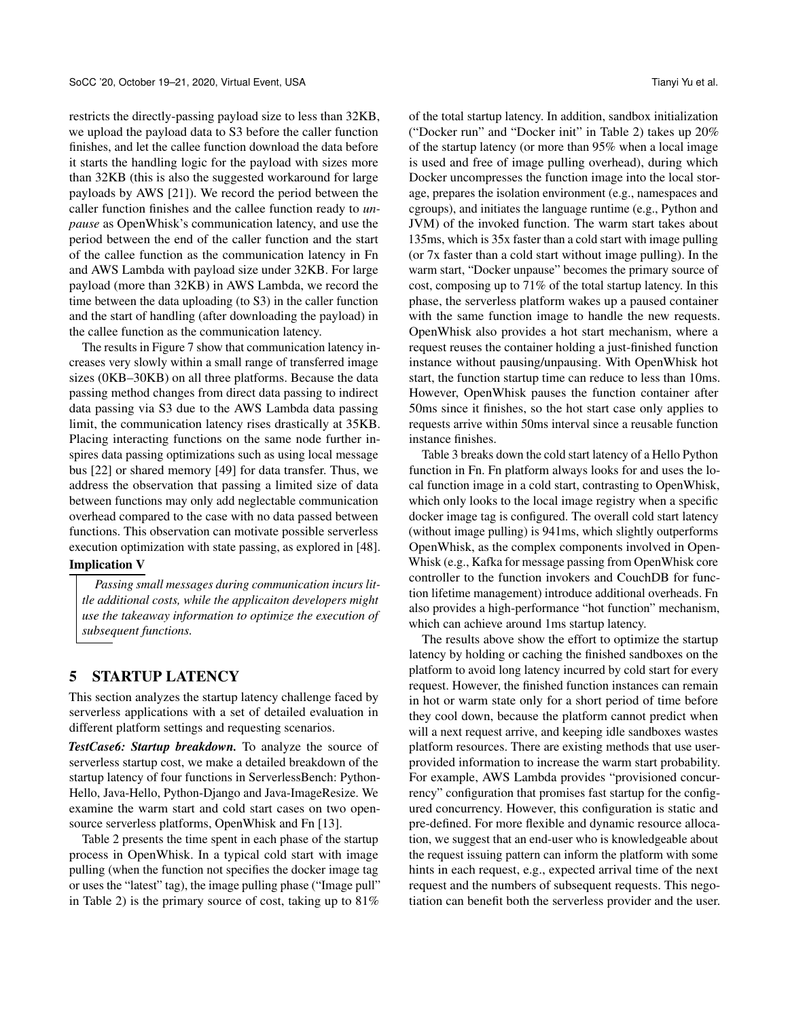restricts the directly-passing payload size to less than 32KB, we upload the payload data to S3 before the caller function finishes, and let the callee function download the data before it starts the handling logic for the payload with sizes more than 32KB (this is also the suggested workaround for large payloads by AWS [\[21\]](#page-13-26)). We record the period between the caller function finishes and the callee function ready to *unpause* as OpenWhisk's communication latency, and use the period between the end of the caller function and the start of the callee function as the communication latency in Fn and AWS Lambda with payload size under 32KB. For large payload (more than 32KB) in AWS Lambda, we record the time between the data uploading (to S3) in the caller function and the start of handling (after downloading the payload) in the callee function as the communication latency.

The results in Figure [7](#page-6-1) show that communication latency increases very slowly within a small range of transferred image sizes (0KB–30KB) on all three platforms. Because the data passing method changes from direct data passing to indirect data passing via S3 due to the AWS Lambda data passing limit, the communication latency rises drastically at 35KB. Placing interacting functions on the same node further inspires data passing optimizations such as using local message bus [\[22\]](#page-13-24) or shared memory [\[49\]](#page-14-11) for data transfer. Thus, we address the observation that passing a limited size of data between functions may only add neglectable communication overhead compared to the case with no data passed between functions. This observation can motivate possible serverless execution optimization with state passing, as explored in [\[48\]](#page-14-12).

#### Implication V

*Passing small messages during communication incurs little additional costs, while the applicaiton developers might use the takeaway information to optimize the execution of subsequent functions.*

#### 5 STARTUP LATENCY

This section analyzes the startup latency challenge faced by serverless applications with a set of detailed evaluation in different platform settings and requesting scenarios.

*TestCase6: Startup breakdown.* To analyze the source of serverless startup cost, we make a detailed breakdown of the startup latency of four functions in ServerlessBench: Python-Hello, Java-Hello, Python-Django and Java-ImageResize. We examine the warm start and cold start cases on two opensource serverless platforms, OpenWhisk and Fn [\[13\]](#page-13-15).

Table [2](#page-8-0) presents the time spent in each phase of the startup process in OpenWhisk. In a typical cold start with image pulling (when the function not specifies the docker image tag or uses the "latest" tag), the image pulling phase ("Image pull" in Table [2\)](#page-8-0) is the primary source of cost, taking up to 81% of the total startup latency. In addition, sandbox initialization ("Docker run" and "Docker init" in Table [2\)](#page-8-0) takes up 20% of the startup latency (or more than 95% when a local image is used and free of image pulling overhead), during which Docker uncompresses the function image into the local storage, prepares the isolation environment (e.g., namespaces and cgroups), and initiates the language runtime (e.g., Python and JVM) of the invoked function. The warm start takes about 135ms, which is 35x faster than a cold start with image pulling (or 7x faster than a cold start without image pulling). In the warm start, "Docker unpause" becomes the primary source of cost, composing up to 71% of the total startup latency. In this phase, the serverless platform wakes up a paused container with the same function image to handle the new requests. OpenWhisk also provides a hot start mechanism, where a request reuses the container holding a just-finished function instance without pausing/unpausing. With OpenWhisk hot start, the function startup time can reduce to less than 10ms. However, OpenWhisk pauses the function container after 50ms since it finishes, so the hot start case only applies to requests arrive within 50ms interval since a reusable function instance finishes.

Table [3](#page-8-1) breaks down the cold start latency of a Hello Python function in Fn. Fn platform always looks for and uses the local function image in a cold start, contrasting to OpenWhisk, which only looks to the local image registry when a specific docker image tag is configured. The overall cold start latency (without image pulling) is 941ms, which slightly outperforms OpenWhisk, as the complex components involved in Open-Whisk (e.g., Kafka for message passing from OpenWhisk core controller to the function invokers and CouchDB for function lifetime management) introduce additional overheads. Fn also provides a high-performance "hot function" mechanism, which can achieve around 1ms startup latency.

The results above show the effort to optimize the startup latency by holding or caching the finished sandboxes on the platform to avoid long latency incurred by cold start for every request. However, the finished function instances can remain in hot or warm state only for a short period of time before they cool down, because the platform cannot predict when will a next request arrive, and keeping idle sandboxes wastes platform resources. There are existing methods that use userprovided information to increase the warm start probability. For example, AWS Lambda provides "provisioned concurrency" configuration that promises fast startup for the configured concurrency. However, this configuration is static and pre-defined. For more flexible and dynamic resource allocation, we suggest that an end-user who is knowledgeable about the request issuing pattern can inform the platform with some hints in each request, e.g., expected arrival time of the next request and the numbers of subsequent requests. This negotiation can benefit both the serverless provider and the user.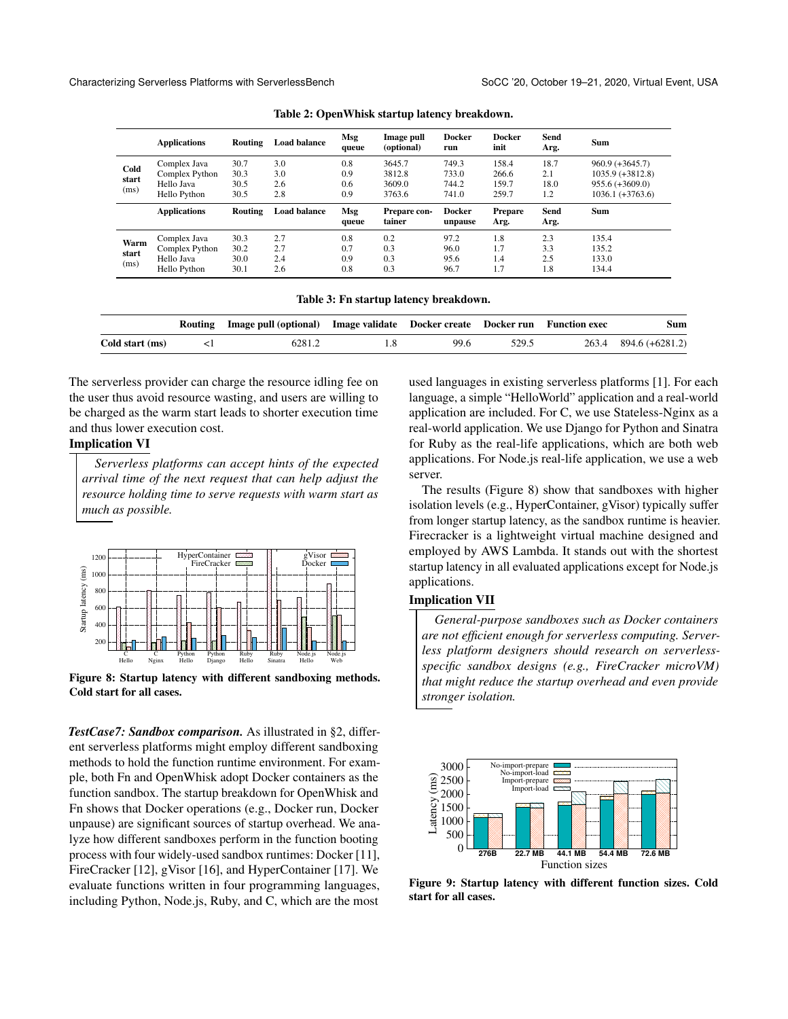<span id="page-8-0"></span>

|                       | <b>Applications</b>                                          | Routing                      | <b>Load balance</b>      | Msg<br>queue             | Image pull<br>(optional)             | <b>Docker</b><br>run             | <b>Docker</b><br>init            | Send<br>Arg.               | <b>Sum</b>                                                                         |
|-----------------------|--------------------------------------------------------------|------------------------------|--------------------------|--------------------------|--------------------------------------|----------------------------------|----------------------------------|----------------------------|------------------------------------------------------------------------------------|
| Cold<br>start<br>(ms) | Complex Java<br>Complex Python<br>Hello Java<br>Hello Python | 30.7<br>30.3<br>30.5<br>30.5 | 3.0<br>3.0<br>2.6<br>2.8 | 0.8<br>0.9<br>0.6<br>0.9 | 3645.7<br>3812.8<br>3609.0<br>3763.6 | 749.3<br>733.0<br>744.2<br>741.0 | 158.4<br>266.6<br>159.7<br>259.7 | 18.7<br>2.1<br>18.0<br>1.2 | $960.9 (+3645.7)$<br>$1035.9 (+3812.8)$<br>$955.6 (+3609.0)$<br>$1036.1 (+3763.6)$ |
|                       | <b>Applications</b>                                          | Routing                      | <b>Load balance</b>      | Msg<br>queue             | Prepare con-<br>tainer               | Docker<br>unpause                | <b>Prepare</b><br>Arg.           | Send<br>Arg.               | <b>Sum</b>                                                                         |
| Warm<br>start<br>(ms) | Complex Java<br>Complex Python<br>Hello Java<br>Hello Python | 30.3<br>30.2<br>30.0<br>30.1 | 2.7<br>2.7<br>2.4<br>2.6 | 0.8<br>0.7<br>0.9<br>0.8 | 0.2<br>0.3<br>0.3<br>0.3             | 97.2<br>96.0<br>95.6<br>96.7     | 1.8<br>1.7<br>1.4<br>1.7         | 2.3<br>3.3<br>2.5<br>1.8   | 135.4<br>135.2<br>133.0<br>134.4                                                   |

Table 2: OpenWhisk startup latency breakdown.

|  |  | Table 3: Fn startup latency breakdown. |  |  |  |
|--|--|----------------------------------------|--|--|--|
|--|--|----------------------------------------|--|--|--|

<span id="page-8-1"></span>

|                 | Routing Image pull (optional) Image validate Docker create Docker run Function exec |      |       | Sum                   |
|-----------------|-------------------------------------------------------------------------------------|------|-------|-----------------------|
| Cold start (ms) | 6281.2                                                                              | 99.6 | 529.5 | 263.4 894.6 (+6281.2) |

The serverless provider can charge the resource idling fee on the user thus avoid resource wasting, and users are willing to be charged as the warm start leads to shorter execution time and thus lower execution cost.

#### Implication VI

*Serverless platforms can accept hints of the expected arrival time of the next request that can help adjust the resource holding time to serve requests with warm start as much as possible.*

<span id="page-8-2"></span>

Figure 8: Startup latency with different sandboxing methods. Cold start for all cases.

*TestCase7: Sandbox comparison.* As illustrated in [§2,](#page-1-0) different serverless platforms might employ different sandboxing methods to hold the function runtime environment. For example, both Fn and OpenWhisk adopt Docker containers as the function sandbox. The startup breakdown for OpenWhisk and Fn shows that Docker operations (e.g., Docker run, Docker unpause) are significant sources of startup overhead. We analyze how different sandboxes perform in the function booting process with four widely-used sandbox runtimes: Docker [\[11\]](#page-13-16), FireCracker [\[12\]](#page-13-12), gVisor [\[16\]](#page-13-13), and HyperContainer [\[17\]](#page-13-17). We evaluate functions written in four programming languages, including Python, Node.js, Ruby, and C, which are the most

used languages in existing serverless platforms [\[1\]](#page-13-4). For each language, a simple "HelloWorld" application and a real-world application are included. For C, we use Stateless-Nginx as a real-world application. We use Django for Python and Sinatra for Ruby as the real-life applications, which are both web applications. For Node.js real-life application, we use a web server.

The results (Figure [8\)](#page-8-2) show that sandboxes with higher isolation levels (e.g., HyperContainer, gVisor) typically suffer from longer startup latency, as the sandbox runtime is heavier. Firecracker is a lightweight virtual machine designed and employed by AWS Lambda. It stands out with the shortest startup latency in all evaluated applications except for Node.js applications.

#### Implication VII

*General-purpose sandboxes such as Docker containers are not efficient enough for serverless computing. Serverless platform designers should research on serverlessspecific sandbox designs (e.g., FireCracker microVM) that might reduce the startup overhead and even provide stronger isolation.*

<span id="page-8-3"></span>

Figure 9: Startup latency with different function sizes. Cold start for all cases.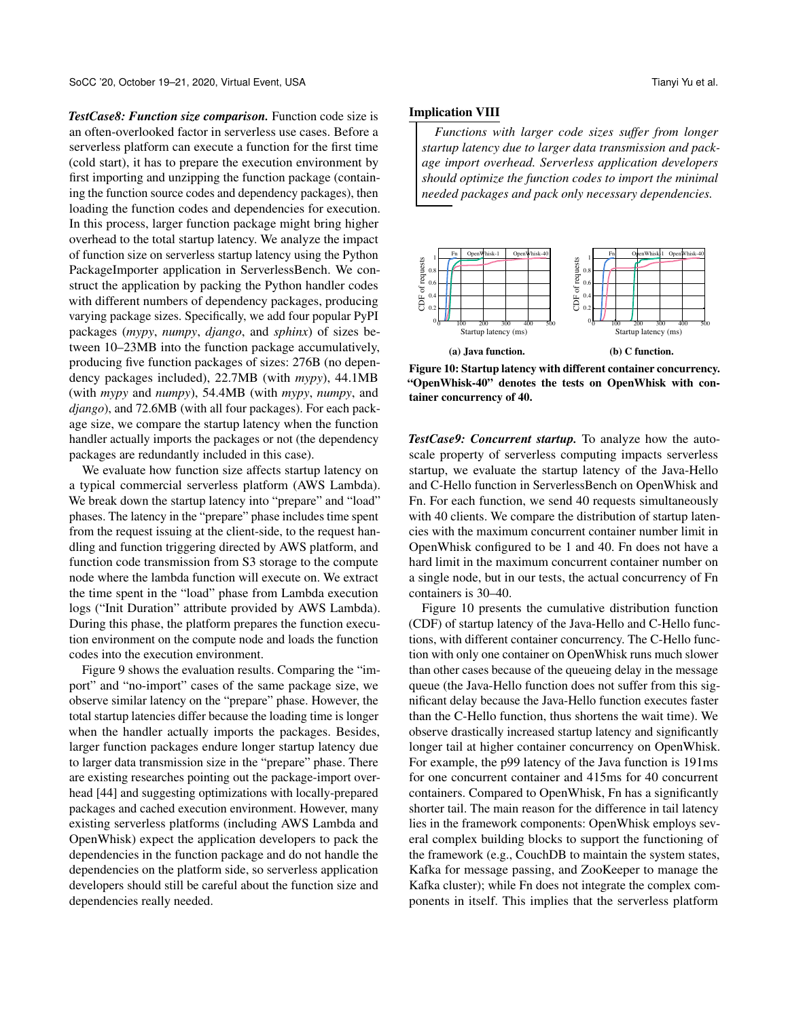*TestCase8: Function size comparison.* Function code size is an often-overlooked factor in serverless use cases. Before a serverless platform can execute a function for the first time (cold start), it has to prepare the execution environment by first importing and unzipping the function package (containing the function source codes and dependency packages), then loading the function codes and dependencies for execution. In this process, larger function package might bring higher overhead to the total startup latency. We analyze the impact of function size on serverless startup latency using the Python PackageImporter application in ServerlessBench. We construct the application by packing the Python handler codes with different numbers of dependency packages, producing varying package sizes. Specifically, we add four popular PyPI packages (*mypy*, *numpy*, *django*, and *sphinx*) of sizes between 10–23MB into the function package accumulatively, producing five function packages of sizes: 276B (no dependency packages included), 22.7MB (with *mypy*), 44.1MB (with *mypy* and *numpy*), 54.4MB (with *mypy*, *numpy*, and *django*), and 72.6MB (with all four packages). For each package size, we compare the startup latency when the function handler actually imports the packages or not (the dependency packages are redundantly included in this case).

We evaluate how function size affects startup latency on a typical commercial serverless platform (AWS Lambda). We break down the startup latency into "prepare" and "load" phases. The latency in the "prepare" phase includes time spent from the request issuing at the client-side, to the request handling and function triggering directed by AWS platform, and function code transmission from S3 storage to the compute node where the lambda function will execute on. We extract the time spent in the "load" phase from Lambda execution logs ("Init Duration" attribute provided by AWS Lambda). During this phase, the platform prepares the function execution environment on the compute node and loads the function codes into the execution environment.

Figure [9](#page-8-3) shows the evaluation results. Comparing the "import" and "no-import" cases of the same package size, we observe similar latency on the "prepare" phase. However, the total startup latencies differ because the loading time is longer when the handler actually imports the packages. Besides, larger function packages endure longer startup latency due to larger data transmission size in the "prepare" phase. There are existing researches pointing out the package-import overhead [\[44\]](#page-14-10) and suggesting optimizations with locally-prepared packages and cached execution environment. However, many existing serverless platforms (including AWS Lambda and OpenWhisk) expect the application developers to pack the dependencies in the function package and do not handle the dependencies on the platform side, so serverless application developers should still be careful about the function size and dependencies really needed.

#### Implication VIII

*Functions with larger code sizes suffer from longer startup latency due to larger data transmission and package import overhead. Serverless application developers should optimize the function codes to import the minimal needed packages and pack only necessary dependencies.*

<span id="page-9-0"></span>

Figure 10: Startup latency with different container concurrency. "OpenWhisk-40" denotes the tests on OpenWhisk with container concurrency of 40.

*TestCase9: Concurrent startup.* To analyze how the autoscale property of serverless computing impacts serverless startup, we evaluate the startup latency of the Java-Hello and C-Hello function in ServerlessBench on OpenWhisk and Fn. For each function, we send 40 requests simultaneously with 40 clients. We compare the distribution of startup latencies with the maximum concurrent container number limit in OpenWhisk configured to be 1 and 40. Fn does not have a hard limit in the maximum concurrent container number on a single node, but in our tests, the actual concurrency of Fn containers is 30–40.

Figure [10](#page-9-0) presents the cumulative distribution function (CDF) of startup latency of the Java-Hello and C-Hello functions, with different container concurrency. The C-Hello function with only one container on OpenWhisk runs much slower than other cases because of the queueing delay in the message queue (the Java-Hello function does not suffer from this significant delay because the Java-Hello function executes faster than the C-Hello function, thus shortens the wait time). We observe drastically increased startup latency and significantly longer tail at higher container concurrency on OpenWhisk. For example, the p99 latency of the Java function is 191ms for one concurrent container and 415ms for 40 concurrent containers. Compared to OpenWhisk, Fn has a significantly shorter tail. The main reason for the difference in tail latency lies in the framework components: OpenWhisk employs several complex building blocks to support the functioning of the framework (e.g., CouchDB to maintain the system states, Kafka for message passing, and ZooKeeper to manage the Kafka cluster); while Fn does not integrate the complex components in itself. This implies that the serverless platform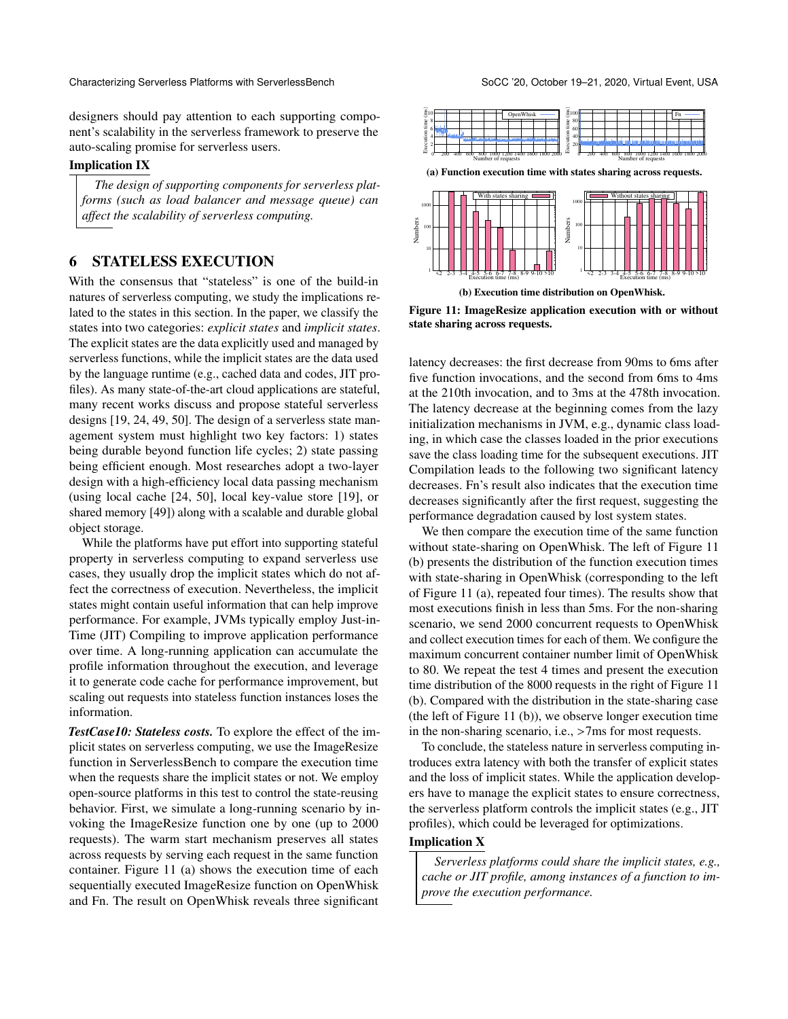designers should pay attention to each supporting component's scalability in the serverless framework to preserve the auto-scaling promise for serverless users.

#### Implication IX

*The design of supporting components for serverless platforms (such as load balancer and message queue) can affect the scalability of serverless computing.*

# 6 STATELESS EXECUTION

With the consensus that "stateless" is one of the build-in natures of serverless computing, we study the implications related to the states in this section. In the paper, we classify the states into two categories: *explicit states* and *implicit states*. The explicit states are the data explicitly used and managed by serverless functions, while the implicit states are the data used by the language runtime (e.g., cached data and codes, JIT profiles). As many state-of-the-art cloud applications are stateful, many recent works discuss and propose stateful serverless designs [\[19,](#page-13-27) [24,](#page-13-28) [49,](#page-14-11) [50\]](#page-14-13). The design of a serverless state management system must highlight two key factors: 1) states being durable beyond function life cycles; 2) state passing being efficient enough. Most researches adopt a two-layer design with a high-efficiency local data passing mechanism (using local cache [\[24,](#page-13-28) [50\]](#page-14-13), local key-value store [\[19\]](#page-13-27), or shared memory [\[49\]](#page-14-11)) along with a scalable and durable global object storage. anti-<br>
and the result of the results and between the stational particles in the results of the results of stational components for serveriess plat-<br>
[one station as load balancer and measure queue) can<br>
affect the scalabi

While the platforms have put effort into supporting stateful property in serverless computing to expand serverless use cases, they usually drop the implicit states which do not affect the correctness of execution. Nevertheless, the implicit states might contain useful information that can help improve performance. For example, JVMs typically employ Just-in-Time (JIT) Compiling to improve application performance over time. A long-running application can accumulate the profile information throughout the execution, and leverage it to generate code cache for performance improvement, but scaling out requests into stateless function instances loses the information.

*TestCase10: Stateless costs.* To explore the effect of the implicit states on serverless computing, we use the ImageResize function in ServerlessBench to compare the execution time when the requests share the implicit states or not. We employ open-source platforms in this test to control the state-reusing behavior. First, we simulate a long-running scenario by invoking the ImageResize function one by one (up to 2000 requests). The warm start mechanism preserves all states across requests by serving each request in the same function container. Figure [11](#page-10-0) (a) shows the execution time of each sequentially executed ImageResize function on OpenWhisk

<span id="page-10-0"></span>

Figure 11: ImageResize application execution with or without state sharing across requests.

latency decreases: the first decrease from 90ms to 6ms after five function invocations, and the second from 6ms to 4ms at the 210th invocation, and to 3ms at the 478th invocation. The latency decrease at the beginning comes from the lazy initialization mechanisms in JVM, e.g., dynamic class loading, in which case the classes loaded in the prior executions save the class loading time for the subsequent executions. JIT Compilation leads to the following two significant latency decreases. Fn's result also indicates that the execution time decreases significantly after the first request, suggesting the performance degradation caused by lost system states.

We then compare the execution time of the same function without state-sharing on OpenWhisk. The left of Figure [11](#page-10-0) (b) presents the distribution of the function execution times with state-sharing in OpenWhisk (corresponding to the left of Figure [11](#page-10-0) (a), repeated four times). The results show that most executions finish in less than 5ms. For the non-sharing scenario, we send 2000 concurrent requests to OpenWhisk and collect execution times for each of them. We configure the maximum concurrent container number limit of OpenWhisk to 80. We repeat the test 4 times and present the execution time distribution of the 8000 requests in the right of Figure [11](#page-10-0) (b). Compared with the distribution in the state-sharing case (the left of Figure [11](#page-10-0) (b)), we observe longer execution time in the non-sharing scenario, i.e., >7ms for most requests.

To conclude, the stateless nature in serverless computing introduces extra latency with both the transfer of explicit states and the loss of implicit states. While the application developers have to manage the explicit states to ensure correctness, the serverless platform controls the implicit states (e.g., JIT profiles), which could be leveraged for optimizations.

# Implication X

*Serverless platforms could share the implicit states, e.g., cache or JIT profile, among instances of a function to improve the execution performance.*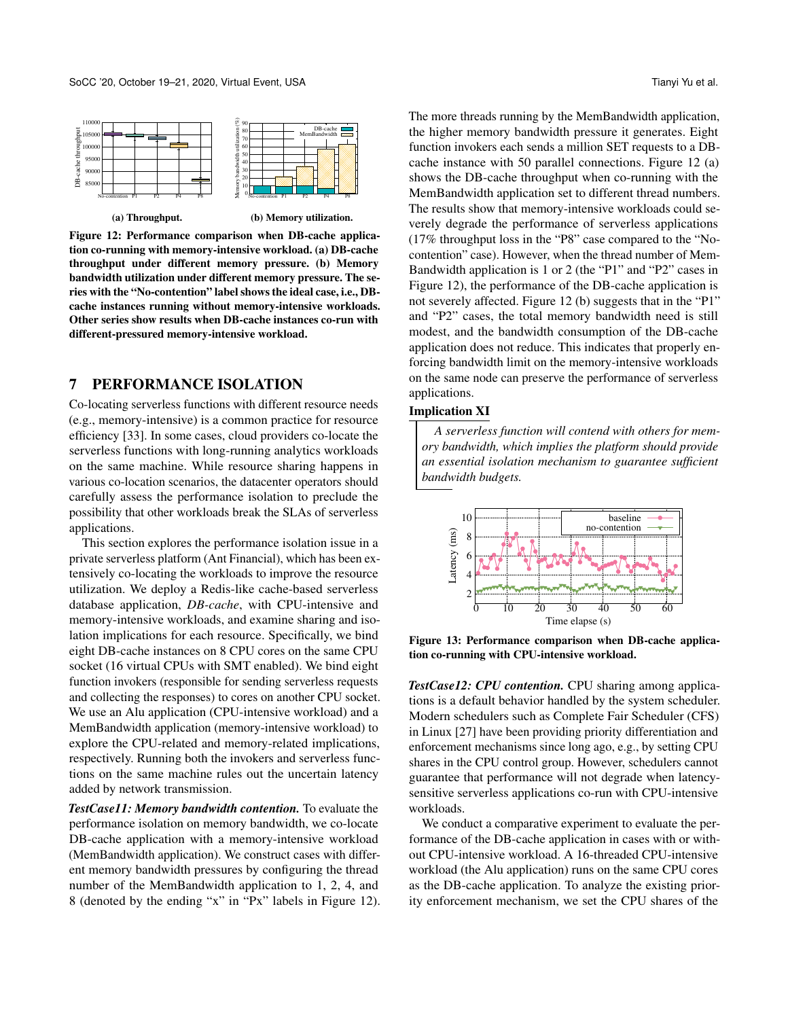<span id="page-11-1"></span>

Figure 12: Performance comparison when DB-cache application co-running with memory-intensive workload. (a) DB-cache throughput under different memory pressure. (b) Memory bandwidth utilization under different memory pressure. The series with the "No-contention" label shows the ideal case, i.e., DBcache instances running without memory-intensive workloads. Other series show results when DB-cache instances co-run with different-pressured memory-intensive workload.

# <span id="page-11-0"></span>7 PERFORMANCE ISOLATION

Co-locating serverless functions with different resource needs (e.g., memory-intensive) is a common practice for resource efficiency [\[33\]](#page-13-29). In some cases, cloud providers co-locate the serverless functions with long-running analytics workloads on the same machine. While resource sharing happens in various co-location scenarios, the datacenter operators should carefully assess the performance isolation to preclude the possibility that other workloads break the SLAs of serverless applications.

This section explores the performance isolation issue in a private serverless platform (Ant Financial), which has been extensively co-locating the workloads to improve the resource utilization. We deploy a Redis-like cache-based serverless database application, *DB-cache*, with CPU-intensive and memory-intensive workloads, and examine sharing and isolation implications for each resource. Specifically, we bind eight DB-cache instances on 8 CPU cores on the same CPU socket (16 virtual CPUs with SMT enabled). We bind eight function invokers (responsible for sending serverless requests and collecting the responses) to cores on another CPU socket. We use an Alu application (CPU-intensive workload) and a MemBandwidth application (memory-intensive workload) to explore the CPU-related and memory-related implications, respectively. Running both the invokers and serverless functions on the same machine rules out the uncertain latency added by network transmission.

*TestCase11: Memory bandwidth contention.* To evaluate the performance isolation on memory bandwidth, we co-locate DB-cache application with a memory-intensive workload (MemBandwidth application). We construct cases with different memory bandwidth pressures by configuring the thread number of the MemBandwidth application to 1, 2, 4, and 8 (denoted by the ending "x" in "Px" labels in Figure [12\)](#page-11-1). The more threads running by the MemBandwidth application, the higher memory bandwidth pressure it generates. Eight function invokers each sends a million SET requests to a DBcache instance with 50 parallel connections. Figure [12](#page-11-1) (a) shows the DB-cache throughput when co-running with the MemBandwidth application set to different thread numbers. The results show that memory-intensive workloads could severely degrade the performance of serverless applications (17% throughput loss in the "P8" case compared to the "No-

contention" case). However, when the thread number of Mem-Bandwidth application is 1 or 2 (the "P1" and "P2" cases in Figure [12\)](#page-11-1), the performance of the DB-cache application is not severely affected. Figure [12](#page-11-1) (b) suggests that in the "P1" and "P2" cases, the total memory bandwidth need is still modest, and the bandwidth consumption of the DB-cache application does not reduce. This indicates that properly enforcing bandwidth limit on the memory-intensive workloads on the same node can preserve the performance of serverless applications.

#### Implication XI

*A serverless function will contend with others for memory bandwidth, which implies the platform should provide an essential isolation mechanism to guarantee sufficient bandwidth budgets.*

<span id="page-11-2"></span>

Figure 13: Performance comparison when DB-cache application co-running with CPU-intensive workload.

*TestCase12: CPU contention.* CPU sharing among applications is a default behavior handled by the system scheduler. Modern schedulers such as Complete Fair Scheduler (CFS) in Linux [\[27\]](#page-13-30) have been providing priority differentiation and enforcement mechanisms since long ago, e.g., by setting CPU shares in the CPU control group. However, schedulers cannot guarantee that performance will not degrade when latencysensitive serverless applications co-run with CPU-intensive workloads.

We conduct a comparative experiment to evaluate the performance of the DB-cache application in cases with or without CPU-intensive workload. A 16-threaded CPU-intensive workload (the Alu application) runs on the same CPU cores as the DB-cache application. To analyze the existing priority enforcement mechanism, we set the CPU shares of the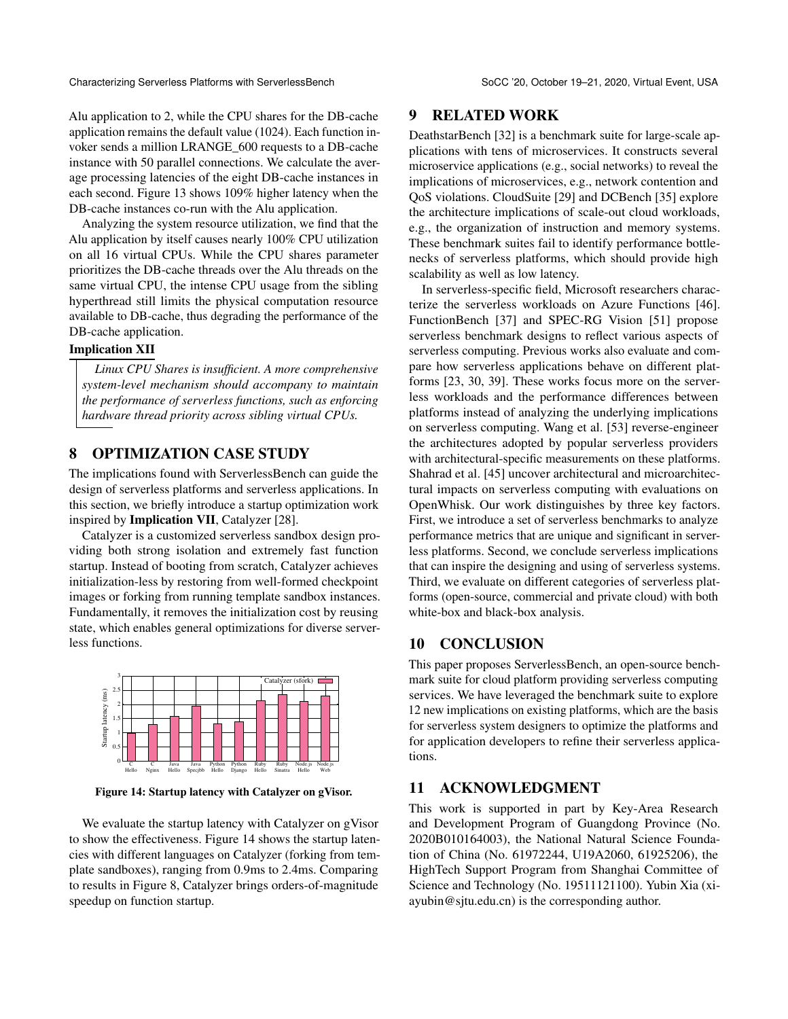Alu application to 2, while the CPU shares for the DB-cache application remains the default value (1024). Each function invoker sends a million LRANGE\_600 requests to a DB-cache instance with 50 parallel connections. We calculate the average processing latencies of the eight DB-cache instances in each second. Figure [13](#page-11-2) shows 109% higher latency when the DB-cache instances co-run with the Alu application.

Analyzing the system resource utilization, we find that the Alu application by itself causes nearly 100% CPU utilization on all 16 virtual CPUs. While the CPU shares parameter prioritizes the DB-cache threads over the Alu threads on the same virtual CPU, the intense CPU usage from the sibling hyperthread still limits the physical computation resource available to DB-cache, thus degrading the performance of the DB-cache application.

#### Implication XII

*Linux CPU Shares is insufficient. A more comprehensive system-level mechanism should accompany to maintain the performance of serverless functions, such as enforcing hardware thread priority across sibling virtual CPUs.*

# 8 OPTIMIZATION CASE STUDY

The implications found with ServerlessBench can guide the design of serverless platforms and serverless applications. In this section, we briefly introduce a startup optimization work inspired by Implication VII, Catalyzer [\[28\]](#page-13-31).

Catalyzer is a customized serverless sandbox design providing both strong isolation and extremely fast function startup. Instead of booting from scratch, Catalyzer achieves initialization-less by restoring from well-formed checkpoint images or forking from running template sandbox instances. Fundamentally, it removes the initialization cost by reusing state, which enables general optimizations for diverse serverless functions.

<span id="page-12-0"></span>

Figure 14: Startup latency with Catalyzer on gVisor.

We evaluate the startup latency with Catalyzer on gVisor to show the effectiveness. Figure [14](#page-12-0) shows the startup latencies with different languages on Catalyzer (forking from template sandboxes), ranging from 0.9ms to 2.4ms. Comparing to results in Figure [8,](#page-8-2) Catalyzer brings orders-of-magnitude speedup on function startup.

#### 9 RELATED WORK

DeathstarBench [\[32\]](#page-13-8) is a benchmark suite for large-scale applications with tens of microservices. It constructs several microservice applications (e.g., social networks) to reveal the implications of microservices, e.g., network contention and QoS violations. CloudSuite [\[29\]](#page-13-32) and DCBench [\[35\]](#page-13-33) explore the architecture implications of scale-out cloud workloads, e.g., the organization of instruction and memory systems. These benchmark suites fail to identify performance bottlenecks of serverless platforms, which should provide high scalability as well as low latency.

In serverless-specific field, Microsoft researchers characterize the serverless workloads on Azure Functions [\[46\]](#page-14-14). FunctionBench [\[37\]](#page-14-15) and SPEC-RG Vision [\[51\]](#page-14-16) propose serverless benchmark designs to reflect various aspects of serverless computing. Previous works also evaluate and compare how serverless applications behave on different platforms [\[23,](#page-13-34) [30,](#page-13-35) [39\]](#page-14-17). These works focus more on the serverless workloads and the performance differences between platforms instead of analyzing the underlying implications on serverless computing. Wang et al. [\[53\]](#page-14-5) reverse-engineer the architectures adopted by popular serverless providers with architectural-specific measurements on these platforms. Shahrad et al. [\[45\]](#page-14-18) uncover architectural and microarchitectural impacts on serverless computing with evaluations on OpenWhisk. Our work distinguishes by three key factors. First, we introduce a set of serverless benchmarks to analyze performance metrics that are unique and significant in serverless platforms. Second, we conclude serverless implications that can inspire the designing and using of serverless systems. Third, we evaluate on different categories of serverless platforms (open-source, commercial and private cloud) with both white-box and black-box analysis.

# 10 CONCLUSION

This paper proposes ServerlessBench, an open-source benchmark suite for cloud platform providing serverless computing services. We have leveraged the benchmark suite to explore 12 new implications on existing platforms, which are the basis for serverless system designers to optimize the platforms and for application developers to refine their serverless applications.

# 11 ACKNOWLEDGMENT

This work is supported in part by Key-Area Research and Development Program of Guangdong Province (No. 2020B010164003), the National Natural Science Foundation of China (No. 61972244, U19A2060, 61925206), the HighTech Support Program from Shanghai Committee of Science and Technology (No. 19511121100). Yubin Xia (xiayubin@sjtu.edu.cn) is the corresponding author.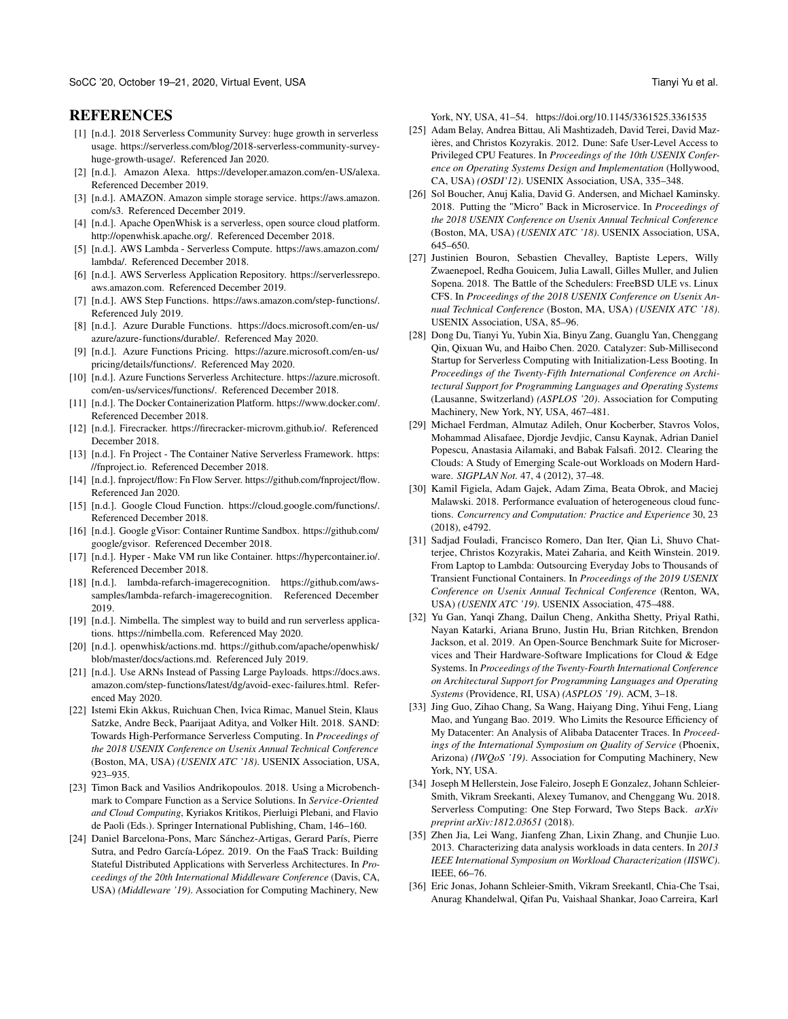# **REFERENCES**

- <span id="page-13-4"></span>[1] [n.d.]. 2018 Serverless Community Survey: huge growth in serverless usage. https://serverless.com/blog/2018-serverless-community-surveyhuge-growth-usage/. Referenced Jan 2020.
- <span id="page-13-10"></span>[2] [n.d.]. Amazon Alexa. [https://developer.amazon.com/en-US/alexa.](https://developer.amazon.com/en-US/alexa) Referenced December 2019.
- <span id="page-13-20"></span>[3] [n.d.]. AMAZON. Amazon simple storage service. [https://aws.amazon.](https://aws.amazon.com/s3) [com/s3.](https://aws.amazon.com/s3) Referenced December 2019.
- <span id="page-13-1"></span>[4] [n.d.]. Apache OpenWhisk is a serverless, open source cloud platform. [http://openwhisk.apache.org/.](http://openwhisk.apache.org/) Referenced December 2018.
- <span id="page-13-0"></span>[5] [n.d.]. AWS Lambda - Serverless Compute. [https://aws.amazon.com/](https://aws.amazon.com/lambda/) [lambda/.](https://aws.amazon.com/lambda/) Referenced December 2018.
- <span id="page-13-7"></span>[6] [n.d.]. AWS Serverless Application Repository. [https://serverlessrepo.](https://serverlessrepo.aws.amazon.com) [aws.amazon.com.](https://serverlessrepo.aws.amazon.com) Referenced December 2019.
- <span id="page-13-19"></span>[7] [n.d.]. AWS Step Functions. [https://aws.amazon.com/step-functions/.](https://aws.amazon.com/step-functions/ ) Referenced July 2019.
- <span id="page-13-22"></span>[8] [n.d.]. Azure Durable Functions. [https://docs.microsoft.com/en-us/](https://docs.microsoft.com/en-us/azure/azure-functions/durable/ ) [azure/azure-functions/durable/.](https://docs.microsoft.com/en-us/azure/azure-functions/durable/ ) Referenced May 2020.
- <span id="page-13-21"></span>[9] [n.d.]. Azure Functions Pricing. [https://azure.microsoft.com/en-us/](https://azure.microsoft.com/en-us/pricing/details/functions/) [pricing/details/functions/.](https://azure.microsoft.com/en-us/pricing/details/functions/) Referenced May 2020.
- <span id="page-13-2"></span>[10] [n.d.]. Azure Functions Serverless Architecture. [https://azure.microsoft.](https://azure.microsoft.com/en-us/services/functions/) [com/en-us/services/functions/.](https://azure.microsoft.com/en-us/services/functions/) Referenced December 2018.
- <span id="page-13-16"></span>[11] [n.d.]. The Docker Containerization Platform. [https://www.docker.com/.](https://www.docker.com/) Referenced December 2018.
- <span id="page-13-12"></span>[12] [n.d.]. Firecracker. [https://firecracker-microvm.github.io/.](https://firecracker-microvm.github.io/) Referenced December 2018.
- <span id="page-13-15"></span>[13] [n.d.]. Fn Project - The Container Native Serverless Framework. [https:](https://fnproject.io) [//fnproject.io.](https://fnproject.io) Referenced December 2018.
- <span id="page-13-25"></span>[14] [n.d.]. fnproject/flow: Fn Flow Server. [https://github.com/fnproject/flow.](https://github.com/fnproject/flow ) Referenced Jan 2020.
- <span id="page-13-3"></span>[15] [n.d.]. Google Cloud Function. [https://cloud.google.com/functions/.](https://cloud.google.com/functions/) Referenced December 2018.
- <span id="page-13-13"></span>[16] [n.d.]. Google gVisor: Container Runtime Sandbox. [https://github.com/](https://github.com/google/gvisor) [google/gvisor.](https://github.com/google/gvisor) Referenced December 2018.
- <span id="page-13-17"></span>[17] [n.d.]. Hyper - Make VM run like Container. [https://hypercontainer.io/.](https://hypercontainer.io/) Referenced December 2018.
- <span id="page-13-23"></span>[18] [n.d.]. lambda-refarch-imagerecognition. [https://github.com/aws](https://github.com/aws-samples/lambda-refarch-imagerecognition)[samples/lambda-refarch-imagerecognition.](https://github.com/aws-samples/lambda-refarch-imagerecognition) Referenced December 2019.
- <span id="page-13-27"></span>[19] [n.d.]. Nimbella. The simplest way to build and run serverless applications. [https://nimbella.com.](https://nimbella.com) Referenced May 2020.
- <span id="page-13-18"></span>[20] [n.d.]. openwhisk/actions.md. [https://github.com/apache/openwhisk/](https://github.com/apache/openwhisk/blob/master/docs/actions.md ) [blob/master/docs/actions.md.](https://github.com/apache/openwhisk/blob/master/docs/actions.md ) Referenced July 2019.
- <span id="page-13-26"></span>[21] [n.d.]. Use ARNs Instead of Passing Large Payloads. [https://docs.aws.](https://docs.aws.amazon.com/step-functions/latest/dg/avoid-exec-failures.html) [amazon.com/step-functions/latest/dg/avoid-exec-failures.html.](https://docs.aws.amazon.com/step-functions/latest/dg/avoid-exec-failures.html) Referenced May 2020.
- <span id="page-13-24"></span>[22] Istemi Ekin Akkus, Ruichuan Chen, Ivica Rimac, Manuel Stein, Klaus Satzke, Andre Beck, Paarijaat Aditya, and Volker Hilt. 2018. SAND: Towards High-Performance Serverless Computing. In *Proceedings of the 2018 USENIX Conference on Usenix Annual Technical Conference* (Boston, MA, USA) *(USENIX ATC '18)*. USENIX Association, USA, 923–935.
- <span id="page-13-34"></span>[23] Timon Back and Vasilios Andrikopoulos. 2018. Using a Microbenchmark to Compare Function as a Service Solutions. In *Service-Oriented and Cloud Computing*, Kyriakos Kritikos, Pierluigi Plebani, and Flavio de Paoli (Eds.). Springer International Publishing, Cham, 146–160.
- <span id="page-13-28"></span>[24] Daniel Barcelona-Pons, Marc Sánchez-Artigas, Gerard París, Pierre Sutra, and Pedro García-López. 2019. On the FaaS Track: Building Stateful Distributed Applications with Serverless Architectures. In *Proceedings of the 20th International Middleware Conference* (Davis, CA, USA) *(Middleware '19)*. Association for Computing Machinery, New

York, NY, USA, 41–54.<https://doi.org/10.1145/3361525.3361535>

- <span id="page-13-14"></span>[25] Adam Belay, Andrea Bittau, Ali Mashtizadeh, David Terei, David Mazières, and Christos Kozyrakis. 2012. Dune: Safe User-Level Access to Privileged CPU Features. In *Proceedings of the 10th USENIX Conference on Operating Systems Design and Implementation* (Hollywood, CA, USA) *(OSDI'12)*. USENIX Association, USA, 335–348.
- <span id="page-13-5"></span>[26] Sol Boucher, Anuj Kalia, David G. Andersen, and Michael Kaminsky. 2018. Putting the "Micro" Back in Microservice. In *Proceedings of the 2018 USENIX Conference on Usenix Annual Technical Conference* (Boston, MA, USA) *(USENIX ATC '18)*. USENIX Association, USA, 645–650.
- <span id="page-13-30"></span>[27] Justinien Bouron, Sebastien Chevalley, Baptiste Lepers, Willy Zwaenepoel, Redha Gouicem, Julia Lawall, Gilles Muller, and Julien Sopena. 2018. The Battle of the Schedulers: FreeBSD ULE vs. Linux CFS. In *Proceedings of the 2018 USENIX Conference on Usenix Annual Technical Conference* (Boston, MA, USA) *(USENIX ATC '18)*. USENIX Association, USA, 85–96.
- <span id="page-13-31"></span>[28] Dong Du, Tianyi Yu, Yubin Xia, Binyu Zang, Guanglu Yan, Chenggang Qin, Qixuan Wu, and Haibo Chen. 2020. Catalyzer: Sub-Millisecond Startup for Serverless Computing with Initialization-Less Booting. In *Proceedings of the Twenty-Fifth International Conference on Architectural Support for Programming Languages and Operating Systems* (Lausanne, Switzerland) *(ASPLOS '20)*. Association for Computing Machinery, New York, NY, USA, 467–481.
- <span id="page-13-32"></span>[29] Michael Ferdman, Almutaz Adileh, Onur Kocberber, Stavros Volos, Mohammad Alisafaee, Djordje Jevdjic, Cansu Kaynak, Adrian Daniel Popescu, Anastasia Ailamaki, and Babak Falsafi. 2012. Clearing the Clouds: A Study of Emerging Scale-out Workloads on Modern Hardware. *SIGPLAN Not.* 47, 4 (2012), 37–48.
- <span id="page-13-35"></span>[30] Kamil Figiela, Adam Gajek, Adam Zima, Beata Obrok, and Maciej Malawski. 2018. Performance evaluation of heterogeneous cloud functions. *Concurrency and Computation: Practice and Experience* 30, 23 (2018), e4792.
- <span id="page-13-11"></span>[31] Sadjad Fouladi, Francisco Romero, Dan Iter, Qian Li, Shuvo Chatterjee, Christos Kozyrakis, Matei Zaharia, and Keith Winstein. 2019. From Laptop to Lambda: Outsourcing Everyday Jobs to Thousands of Transient Functional Containers. In *Proceedings of the 2019 USENIX Conference on Usenix Annual Technical Conference* (Renton, WA, USA) *(USENIX ATC '19)*. USENIX Association, 475–488.
- <span id="page-13-8"></span>[32] Yu Gan, Yanqi Zhang, Dailun Cheng, Ankitha Shetty, Priyal Rathi, Nayan Katarki, Ariana Bruno, Justin Hu, Brian Ritchken, Brendon Jackson, et al. 2019. An Open-Source Benchmark Suite for Microservices and Their Hardware-Software Implications for Cloud & Edge Systems. In *Proceedings of the Twenty-Fourth International Conference on Architectural Support for Programming Languages and Operating Systems* (Providence, RI, USA) *(ASPLOS '19)*. ACM, 3–18.
- <span id="page-13-29"></span>[33] Jing Guo, Zihao Chang, Sa Wang, Haiyang Ding, Yihui Feng, Liang Mao, and Yungang Bao. 2019. Who Limits the Resource Efficiency of My Datacenter: An Analysis of Alibaba Datacenter Traces. In *Proceedings of the International Symposium on Quality of Service* (Phoenix, Arizona) *(IWQoS '19)*. Association for Computing Machinery, New York, NY, USA.
- <span id="page-13-6"></span>[34] Joseph M Hellerstein, Jose Faleiro, Joseph E Gonzalez, Johann Schleier-Smith, Vikram Sreekanti, Alexey Tumanov, and Chenggang Wu. 2018. Serverless Computing: One Step Forward, Two Steps Back. *arXiv preprint arXiv:1812.03651* (2018).
- <span id="page-13-33"></span>[35] Zhen Jia, Lei Wang, Jianfeng Zhan, Lixin Zhang, and Chunjie Luo. 2013. Characterizing data analysis workloads in data centers. In *2013 IEEE International Symposium on Workload Characterization (IISWC)*. IEEE, 66–76.
- <span id="page-13-9"></span>[36] Eric Jonas, Johann Schleier-Smith, Vikram Sreekantl, Chia-Che Tsai, Anurag Khandelwal, Qifan Pu, Vaishaal Shankar, Joao Carreira, Karl